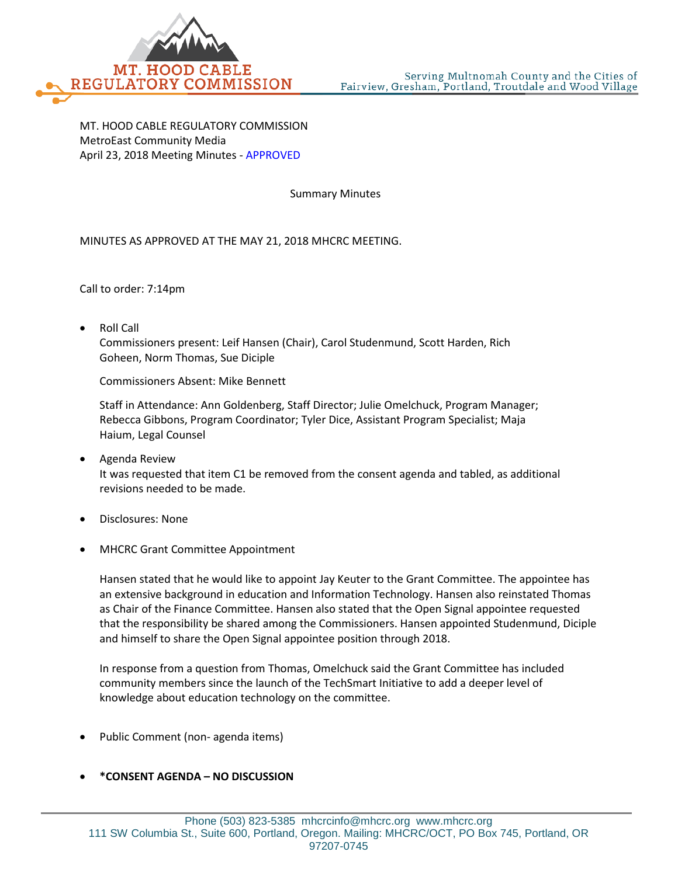

MT. HOOD CABLE REGULATORY COMMISSION MetroEast Community Media April 23, 2018 Meeting Minutes - APPROVED

Summary Minutes

MINUTES AS APPROVED AT THE MAY 21, 2018 MHCRC MEETING.

Call to order: 7:14pm

• Roll Call

Commissioners present: Leif Hansen (Chair), Carol Studenmund, Scott Harden, Rich Goheen, Norm Thomas, Sue Diciple

Commissioners Absent: Mike Bennett

Staff in Attendance: Ann Goldenberg, Staff Director; Julie Omelchuck, Program Manager; Rebecca Gibbons, Program Coordinator; Tyler Dice, Assistant Program Specialist; Maja Haium, Legal Counsel

- Agenda Review It was requested that item C1 be removed from the consent agenda and tabled, as additional revisions needed to be made.
- Disclosures: None
- MHCRC Grant Committee Appointment

Hansen stated that he would like to appoint Jay Keuter to the Grant Committee. The appointee has an extensive background in education and Information Technology. Hansen also reinstated Thomas as Chair of the Finance Committee. Hansen also stated that the Open Signal appointee requested that the responsibility be shared among the Commissioners. Hansen appointed Studenmund, Diciple and himself to share the Open Signal appointee position through 2018.

In response from a question from Thomas, Omelchuck said the Grant Committee has included community members since the launch of the TechSmart Initiative to add a deeper level of knowledge about education technology on the committee.

• Public Comment (non- agenda items)

## • **\*CONSENT AGENDA – NO DISCUSSION**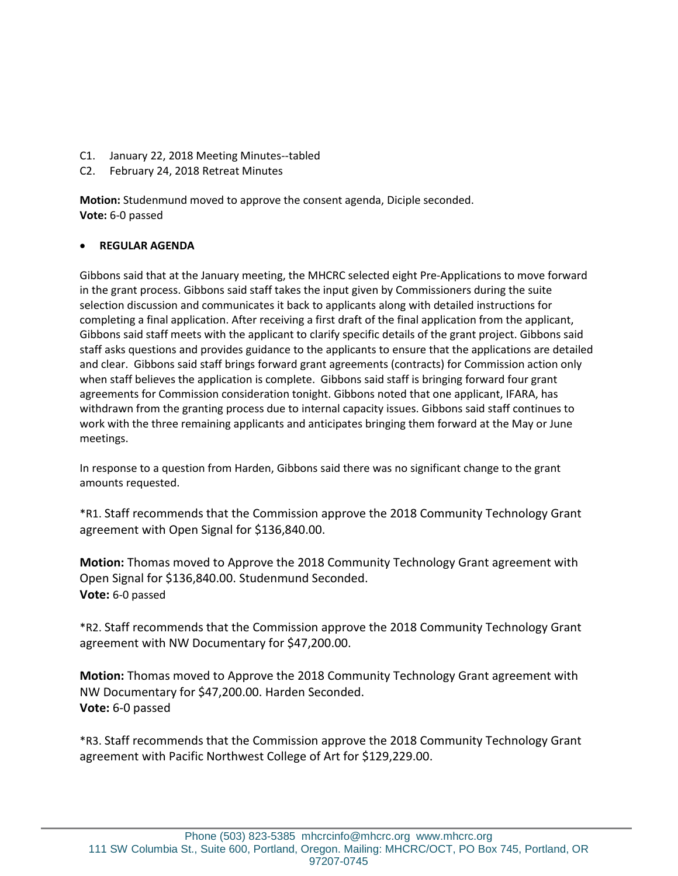- C1. January 22, 2018 Meeting Minutes--tabled
- C2. February 24, 2018 Retreat Minutes

**Motion:** Studenmund moved to approve the consent agenda, Diciple seconded. **Vote:** 6-0 passed

## • **REGULAR AGENDA**

Gibbons said that at the January meeting, the MHCRC selected eight Pre-Applications to move forward in the grant process. Gibbons said staff takes the input given by Commissioners during the suite selection discussion and communicates it back to applicants along with detailed instructions for completing a final application. After receiving a first draft of the final application from the applicant, Gibbons said staff meets with the applicant to clarify specific details of the grant project. Gibbons said staff asks questions and provides guidance to the applicants to ensure that the applications are detailed and clear. Gibbons said staff brings forward grant agreements (contracts) for Commission action only when staff believes the application is complete. Gibbons said staff is bringing forward four grant agreements for Commission consideration tonight. Gibbons noted that one applicant, IFARA, has withdrawn from the granting process due to internal capacity issues. Gibbons said staff continues to work with the three remaining applicants and anticipates bringing them forward at the May or June meetings.

In response to a question from Harden, Gibbons said there was no significant change to the grant amounts requested.

\*R1. Staff recommends that the Commission approve the 2018 Community Technology Grant agreement with Open Signal for \$136,840.00.

**Motion:** Thomas moved to Approve the 2018 Community Technology Grant agreement with Open Signal for \$136,840.00. Studenmund Seconded. **Vote:** 6-0 passed

\*R2. Staff recommends that the Commission approve the 2018 Community Technology Grant agreement with NW Documentary for \$47,200.00.

**Motion:** Thomas moved to Approve the 2018 Community Technology Grant agreement with NW Documentary for \$47,200.00. Harden Seconded. **Vote:** 6-0 passed

\*R3. Staff recommends that the Commission approve the 2018 Community Technology Grant agreement with Pacific Northwest College of Art for \$129,229.00.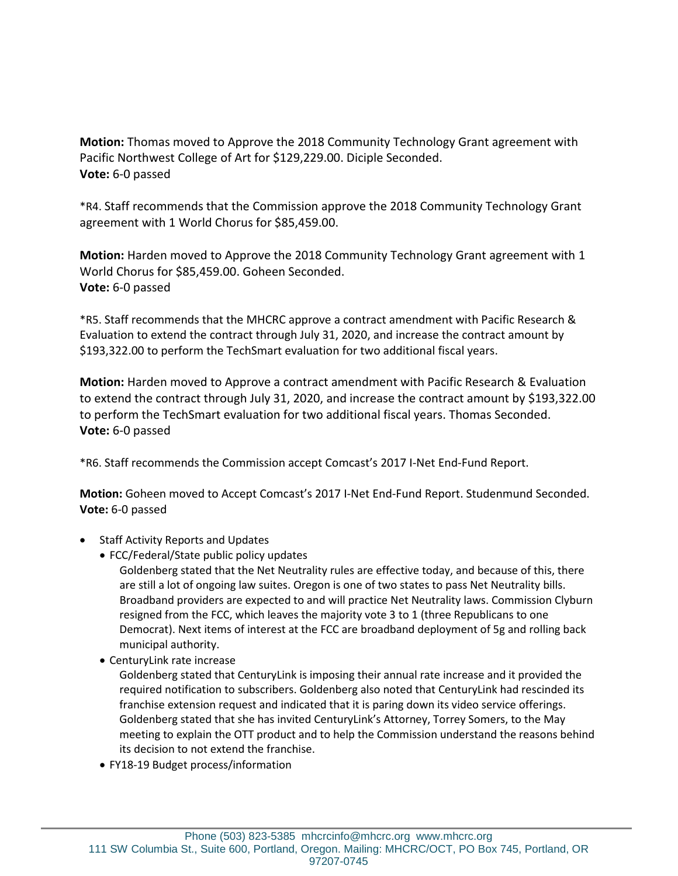**Motion:** Thomas moved to Approve the 2018 Community Technology Grant agreement with Pacific Northwest College of Art for \$129,229.00. Diciple Seconded. **Vote:** 6-0 passed

\*R4. Staff recommends that the Commission approve the 2018 Community Technology Grant agreement with 1 World Chorus for \$85,459.00.

**Motion:** Harden moved to Approve the 2018 Community Technology Grant agreement with 1 World Chorus for \$85,459.00. Goheen Seconded. **Vote:** 6-0 passed

\*R5. Staff recommends that the MHCRC approve a contract amendment with Pacific Research & Evaluation to extend the contract through July 31, 2020, and increase the contract amount by \$193,322.00 to perform the TechSmart evaluation for two additional fiscal years.

**Motion:** Harden moved to Approve a contract amendment with Pacific Research & Evaluation to extend the contract through July 31, 2020, and increase the contract amount by \$193,322.00 to perform the TechSmart evaluation for two additional fiscal years. Thomas Seconded. **Vote:** 6-0 passed

\*R6. Staff recommends the Commission accept Comcast's 2017 I-Net End-Fund Report.

**Motion:** Goheen moved to Accept Comcast's 2017 I-Net End-Fund Report. Studenmund Seconded. **Vote:** 6-0 passed

- Staff Activity Reports and Updates
	- FCC/Federal/State public policy updates

Goldenberg stated that the Net Neutrality rules are effective today, and because of this, there are still a lot of ongoing law suites. Oregon is one of two states to pass Net Neutrality bills. Broadband providers are expected to and will practice Net Neutrality laws. Commission Clyburn resigned from the FCC, which leaves the majority vote 3 to 1 (three Republicans to one Democrat). Next items of interest at the FCC are broadband deployment of 5g and rolling back municipal authority.

• CenturyLink rate increase

Goldenberg stated that CenturyLink is imposing their annual rate increase and it provided the required notification to subscribers. Goldenberg also noted that CenturyLink had rescinded its franchise extension request and indicated that it is paring down its video service offerings. Goldenberg stated that she has invited CenturyLink's Attorney, Torrey Somers, to the May meeting to explain the OTT product and to help the Commission understand the reasons behind its decision to not extend the franchise.

• FY18-19 Budget process/information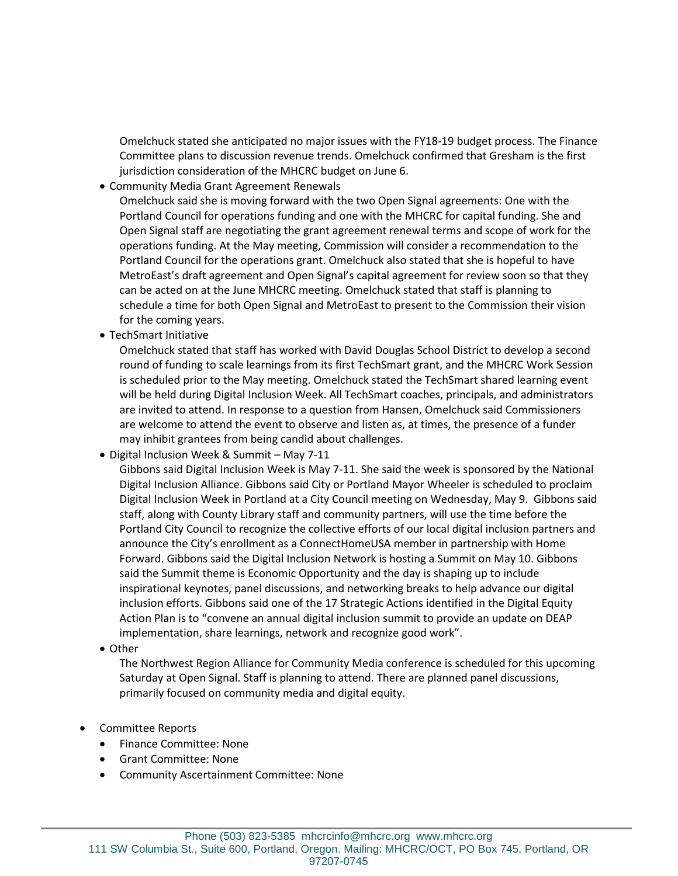Omelchuck stated she anticipated no major issues with the FY18-19 budget process. The Finance Committee plans to discussion revenue trends. Omelchuck confirmed that Gresham is the first jurisdiction consideration of the MHCRC budget on June 6.

• Community Media Grant Agreement Renewals

Omelchuck said she is moving forward with the two Open Signal agreements: One with the Portland Council for operations funding and one with the MHCRC for capital funding. She and Open Signal staff are negotiating the grant agreement renewal terms and scope of work for the operations funding. At the May meeting, Commission will consider a recommendation to the Portland Council for the operations grant. Omelchuck also stated that she is hopeful to have MetroEast's draft agreement and Open Signal's capital agreement for review soon so that they can be acted on at the June MHCRC meeting. Omelchuck stated that staff is planning to schedule a time for both Open Signal and MetroEast to present to the Commission their vision for the coming years.

• TechSmart Initiative

Omelchuck stated that staff has worked with David Douglas School District to develop a second round of funding to scale learnings from its first TechSmart grant, and the MHCRC Work Session is scheduled prior to the May meeting. Omelchuck stated the TechSmart shared learning event will be held during Digital Inclusion Week. All TechSmart coaches, principals, and administrators are invited to attend. In response to a question from Hansen, Omelchuck said Commissioners are welcome to attend the event to observe and listen as, at times, the presence of a funder may inhibit grantees from being candid about challenges.

• Digital Inclusion Week & Summit – May 7-11

Gibbons said Digital Inclusion Week is May 7-11. She said the week is sponsored by the National Digital Inclusion Alliance. Gibbons said City or Portland Mayor Wheeler is scheduled to proclaim Digital Inclusion Week in Portland at a City Council meeting on Wednesday, May 9. Gibbons said staff, along with County Library staff and community partners, will use the time before the Portland City Council to recognize the collective efforts of our local digital inclusion partners and announce the City's enrollment as a ConnectHomeUSA member in partnership with Home Forward. Gibbons said the Digital Inclusion Network is hosting a Summit on May 10. Gibbons said the Summit theme is Economic Opportunity and the day is shaping up to include inspirational keynotes, panel discussions, and networking breaks to help advance our digital inclusion efforts. Gibbons said one of the 17 Strategic Actions identified in the Digital Equity Action Plan is to "convene an annual digital inclusion summit to provide an update on DEAP implementation, share learnings, network and recognize good work".

• Other

The Northwest Region Alliance for Community Media conference is scheduled for this upcoming Saturday at Open Signal. Staff is planning to attend. There are planned panel discussions, primarily focused on community media and digital equity.

- Committee Reports
	- Finance Committee: None
	- Grant Committee: None
	- Community Ascertainment Committee: None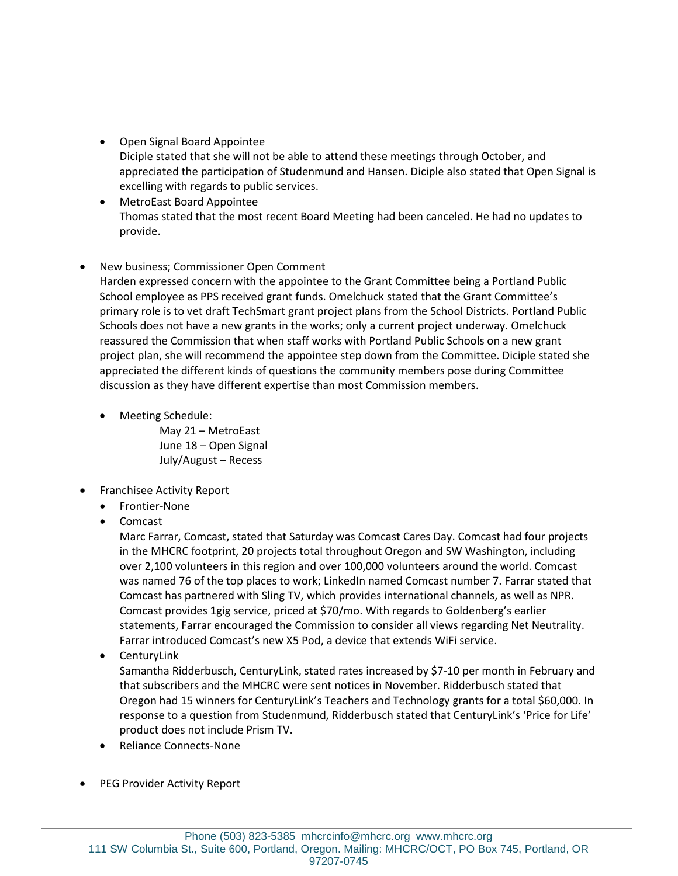- Open Signal Board Appointee Diciple stated that she will not be able to attend these meetings through October, and appreciated the participation of Studenmund and Hansen. Diciple also stated that Open Signal is excelling with regards to public services.
- MetroEast Board Appointee Thomas stated that the most recent Board Meeting had been canceled. He had no updates to provide.

## • New business; Commissioner Open Comment

Harden expressed concern with the appointee to the Grant Committee being a Portland Public School employee as PPS received grant funds. Omelchuck stated that the Grant Committee's primary role is to vet draft TechSmart grant project plans from the School Districts. Portland Public Schools does not have a new grants in the works; only a current project underway. Omelchuck reassured the Commission that when staff works with Portland Public Schools on a new grant project plan, she will recommend the appointee step down from the Committee. Diciple stated she appreciated the different kinds of questions the community members pose during Committee discussion as they have different expertise than most Commission members.

• Meeting Schedule:

May 21 – MetroEast June 18 – Open Signal July/August – Recess

- Franchisee Activity Report
	- Frontier-None
	- Comcast

Marc Farrar, Comcast, stated that Saturday was Comcast Cares Day. Comcast had four projects in the MHCRC footprint, 20 projects total throughout Oregon and SW Washington, including over 2,100 volunteers in this region and over 100,000 volunteers around the world. Comcast was named 76 of the top places to work; LinkedIn named Comcast number 7. Farrar stated that Comcast has partnered with Sling TV, which provides international channels, as well as NPR. Comcast provides 1gig service, priced at \$70/mo. With regards to Goldenberg's earlier statements, Farrar encouraged the Commission to consider all views regarding Net Neutrality. Farrar introduced Comcast's new X5 Pod, a device that extends WiFi service.

• CenturyLink

Samantha Ridderbusch, CenturyLink, stated rates increased by \$7-10 per month in February and that subscribers and the MHCRC were sent notices in November. Ridderbusch stated that Oregon had 15 winners for CenturyLink's Teachers and Technology grants for a total \$60,000. In response to a question from Studenmund, Ridderbusch stated that CenturyLink's 'Price for Life' product does not include Prism TV.

- Reliance Connects-None
- PEG Provider Activity Report